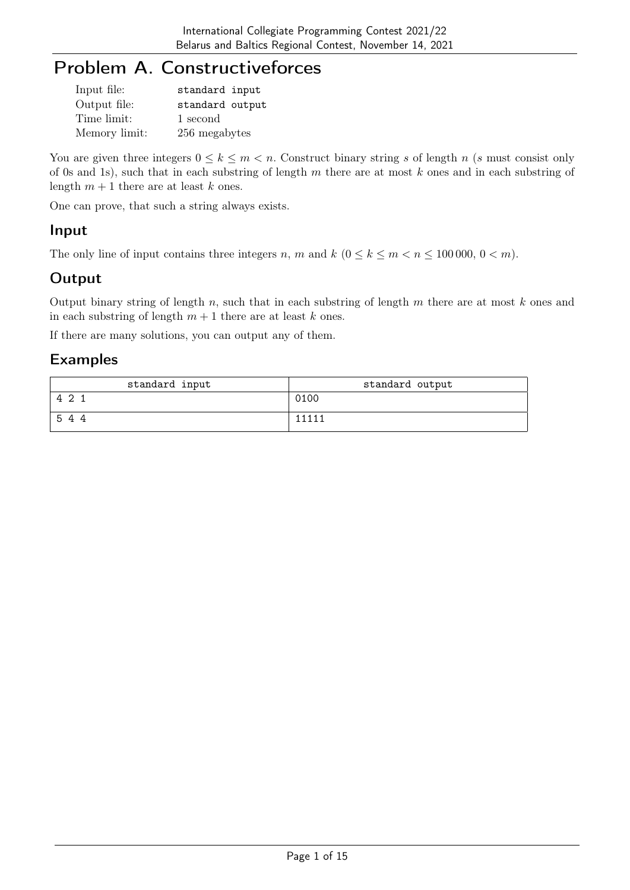# Problem A. Constructiveforces

| Input file:   | standard input  |
|---------------|-----------------|
| Output file:  | standard output |
| Time limit:   | 1 second        |
| Memory limit: | 256 megabytes   |

You are given three integers  $0 \leq k \leq m < n$ . Construct binary string s of length n (s must consist only of 0s and 1s), such that in each substring of length m there are at most  $k$  ones and in each substring of length  $m + 1$  there are at least k ones.

One can prove, that such a string always exists.

#### Input

The only line of input contains three integers n, m and  $k$  ( $0 \le k \le m < n \le 100000$ ,  $0 < m$ ).

### **Output**

Output binary string of length  $n$ , such that in each substring of length  $m$  there are at most  $k$  ones and in each substring of length  $m + 1$  there are at least k ones.

If there are many solutions, you can output any of them.

| standard input | standard output |
|----------------|-----------------|
| 42             | 0100            |
| 544            | 11111           |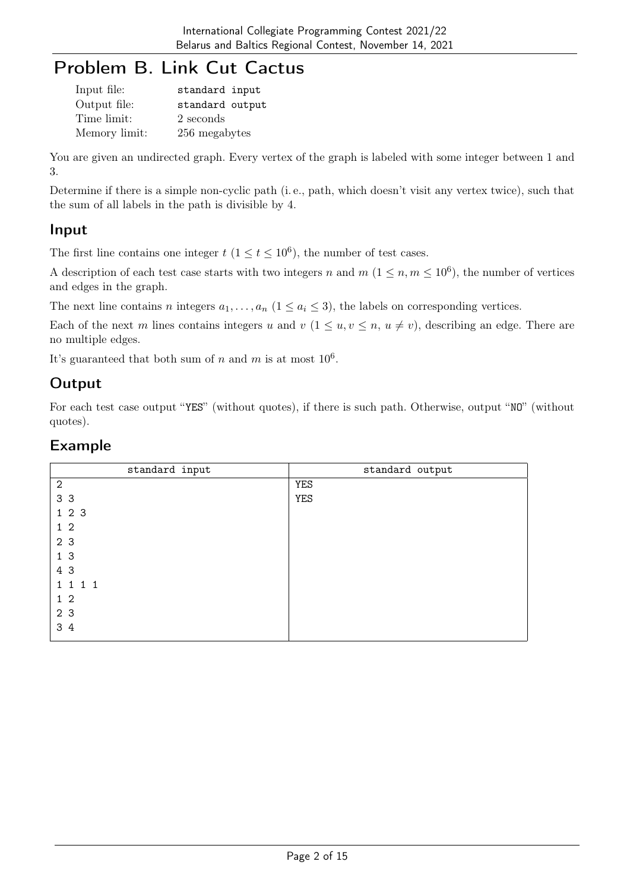## Problem B. Link Cut Cactus

| Input file:   | standard input  |
|---------------|-----------------|
| Output file:  | standard output |
| Time limit:   | 2 seconds       |
| Memory limit: | 256 megabytes   |

You are given an undirected graph. Every vertex of the graph is labeled with some integer between 1 and 3.

Determine if there is a simple non-cyclic path (i. e., path, which doesn't visit any vertex twice), such that the sum of all labels in the path is divisible by 4.

#### Input

The first line contains one integer  $t$   $(1 \le t \le 10^6)$ , the number of test cases.

A description of each test case starts with two integers n and  $m$   $(1 \leq n, m \leq 10^6)$ , the number of vertices and edges in the graph.

The next line contains n integers  $a_1, \ldots, a_n$   $(1 \le a_i \le 3)$ , the labels on corresponding vertices.

Each of the next m lines contains integers u and  $v$   $(1 \le u, v \le n, u \ne v)$ , describing an edge. There are no multiple edges.

It's guaranteed that both sum of n and m is at most  $10^6$ .

### **Output**

For each test case output "YES" (without quotes), if there is such path. Otherwise, output "NO" (without quotes).

| standard input | standard output |
|----------------|-----------------|
| $\mathbf{2}$   | <b>YES</b>      |
| 3 <sub>3</sub> | <b>YES</b>      |
| 123            |                 |
| $1\quad2$      |                 |
| 2 3            |                 |
| 1 <sub>3</sub> |                 |
| 4 3            |                 |
| 1 1 1 1        |                 |
| 1 <sub>2</sub> |                 |
| 2 3            |                 |
| 3 4            |                 |
|                |                 |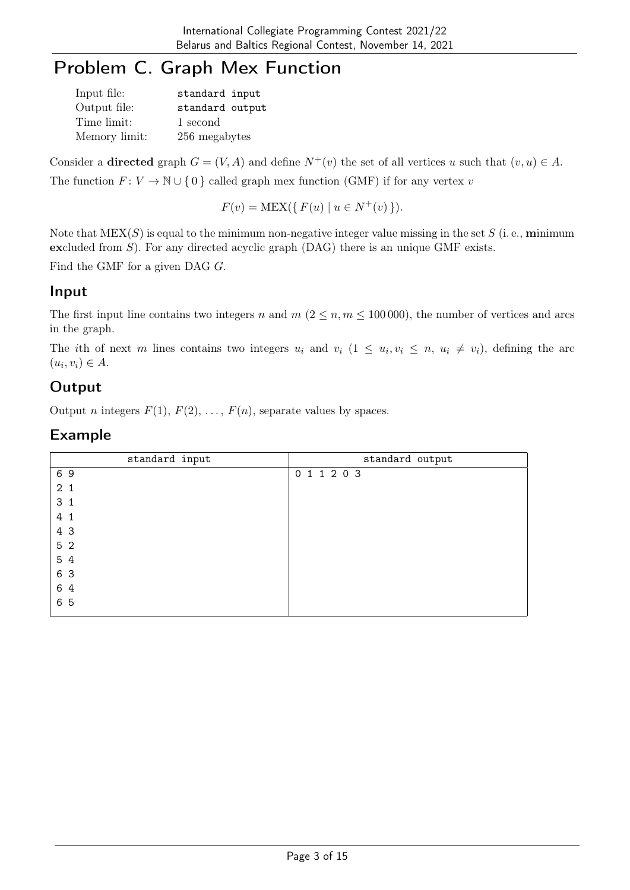# Problem C. Graph Mex Function

| Input file:   | standard input  |
|---------------|-----------------|
| Output file:  | standard output |
| Time limit:   | 1 second        |
| Memory limit: | 256 megabytes   |

Consider a directed graph  $G = (V, A)$  and define  $N^+(v)$  the set of all vertices u such that  $(v, u) \in A$ . The function  $F: V \to \mathbb{N} \cup \{0\}$  called graph mex function (GMF) if for any vertex v

$$
F(v) = \text{MEX}(\{ F(u) \mid u \in N^+(v) \}).
$$

Note that  $MEX(S)$  is equal to the minimum non-negative integer value missing in the set S (i.e., minimum excluded from  $S$ ). For any directed acyclic graph (DAG) there is an unique GMF exists.

Find the GMF for a given DAG G.

#### Input

The first input line contains two integers n and  $m (2 \le n, m \le 100000)$ , the number of vertices and arcs in the graph.

The ith of next m lines contains two integers  $u_i$  and  $v_i$   $(1 \le u_i, v_i \le n, u_i \ne v_i)$ , defining the arc  $(u_i, v_i) \in A$ .

### **Output**

Output *n* integers  $F(1), F(2), \ldots, F(n)$ , separate values by spaces.

| standard input | standard output |
|----------------|-----------------|
| 69             | 0 1 1 2 0 3     |
| 2 <sub>1</sub> |                 |
| 3 <sub>1</sub> |                 |
| 4 1            |                 |
| 4 3            |                 |
| 5 2            |                 |
| 5 4            |                 |
| 6 3            |                 |
| 6 4            |                 |
| 6 5            |                 |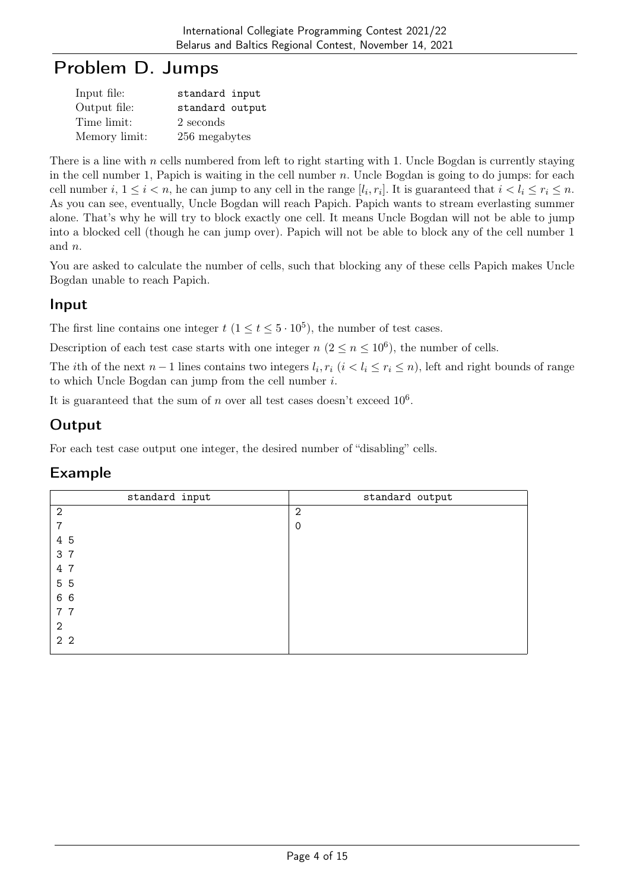## Problem D. Jumps

| Input file:   | standard input  |
|---------------|-----------------|
| Output file:  | standard output |
| Time limit:   | 2 seconds       |
| Memory limit: | 256 megabytes   |

There is a line with  $n$  cells numbered from left to right starting with 1. Uncle Bogdan is currently staying in the cell number 1, Papich is waiting in the cell number  $n$ . Uncle Bogdan is going to do jumps: for each cell number  $i, 1 \le i < n$ , he can jump to any cell in the range  $[l_i, r_i]$ . It is guaranteed that  $i < l_i \le r_i \le n$ . As you can see, eventually, Uncle Bogdan will reach Papich. Papich wants to stream everlasting summer alone. That's why he will try to block exactly one cell. It means Uncle Bogdan will not be able to jump into a blocked cell (though he can jump over). Papich will not be able to block any of the cell number 1 and n.

You are asked to calculate the number of cells, such that blocking any of these cells Papich makes Uncle Bogdan unable to reach Papich.

#### Input

The first line contains one integer  $t$   $(1 \le t \le 5 \cdot 10^5)$ , the number of test cases.

Description of each test case starts with one integer  $n (2 \le n \le 10^6)$ , the number of cells.

The *i*th of the next  $n-1$  lines contains two integers  $l_i, r_i$  ( $i < l_i \le r_i \le n$ ), left and right bounds of range to which Uncle Bogdan can jump from the cell number i.

It is guaranteed that the sum of n over all test cases doesn't exceed  $10<sup>6</sup>$ .

## **Output**

For each test case output one integer, the desired number of "disabling" cells.

| standard input | standard output |
|----------------|-----------------|
| $\mathbf{2}$   | $\overline{2}$  |
| 7              | $\Omega$        |
| 4 5            |                 |
| 3 7            |                 |
| 4 7            |                 |
| 5 5            |                 |
| 6 6            |                 |
| 77             |                 |
| 2              |                 |
| 2 <sub>2</sub> |                 |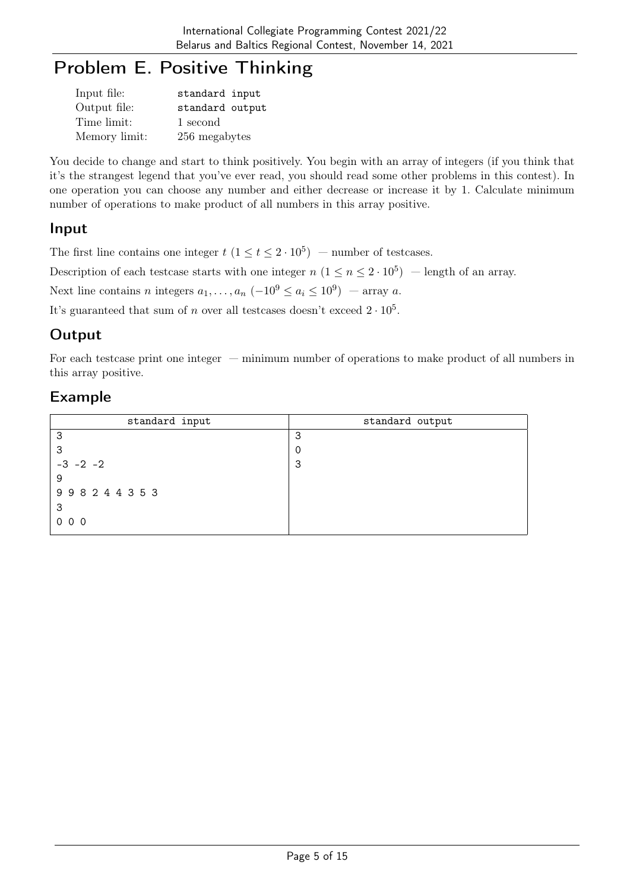# Problem E. Positive Thinking

| Input file:   | standard input  |
|---------------|-----------------|
| Output file:  | standard output |
| Time limit:   | 1 second        |
| Memory limit: | 256 megabytes   |

You decide to change and start to think positively. You begin with an array of integers (if you think that it's the strangest legend that you've ever read, you should read some other problems in this contest). In one operation you can choose any number and either decrease or increase it by 1. Calculate minimum number of operations to make product of all numbers in this array positive.

### Input

The first line contains one integer  $t$   $(1 \le t \le 2 \cdot 10^5)$  – number of testcases.

Description of each testcase starts with one integer  $n (1 \le n \le 2 \cdot 10^5)$  – length of an array.

Next line contains n integers  $a_1, \ldots, a_n$   $(-10^9 \le a_i \le 10^9)$  — array a.

It's guaranteed that sum of n over all testcases doesn't exceed  $2 \cdot 10^5$ .

#### **Output**

For each testcase print one integer — minimum number of operations to make product of all numbers in this array positive.

| standard input | standard output |
|----------------|-----------------|
| 3              | 3               |
| 3              |                 |
| $-3$ $-2$ $-2$ | 3               |
| 9              |                 |
| 998244353      |                 |
| -3             |                 |
| 000            |                 |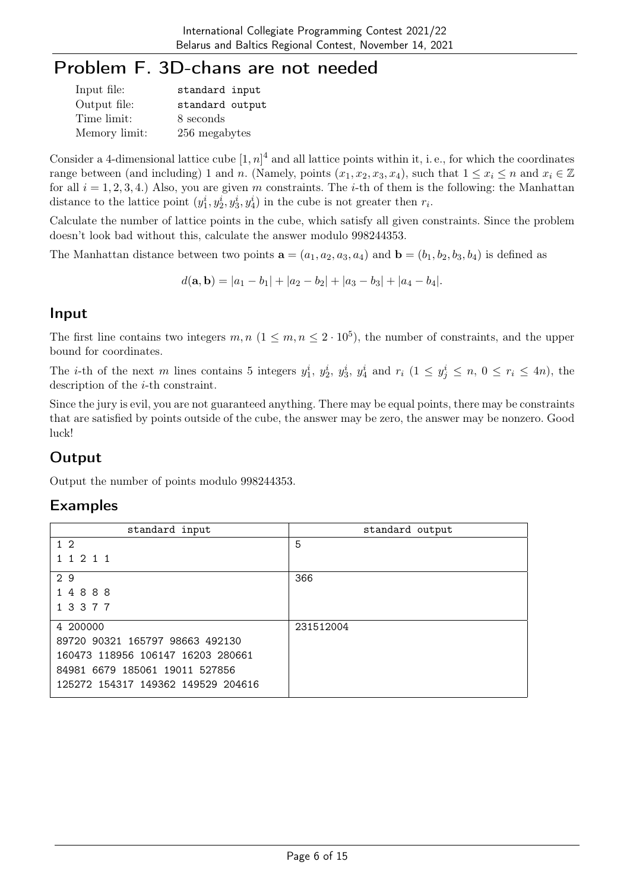# Problem F. 3D-chans are not needed

| Input file:   | standard input  |
|---------------|-----------------|
| Output file:  | standard output |
| Time limit:   | 8 seconds       |
| Memory limit: | 256 megabytes   |

Consider a 4-dimensional lattice cube  $[1, n]^4$  and all lattice points within it, i.e., for which the coordinates range between (and including) 1 and n. (Namely, points  $(x_1, x_2, x_3, x_4)$ , such that  $1 \le x_i \le n$  and  $x_i \in \mathbb{Z}$ for all  $i = 1, 2, 3, 4$ .) Also, you are given m constraints. The *i*-th of them is the following: the Manhattan distance to the lattice point  $(y_1^i, y_2^i, y_3^i, y_4^i)$  in the cube is not greater then  $r_i$ .

Calculate the number of lattice points in the cube, which satisfy all given constraints. Since the problem doesn't look bad without this, calculate the answer modulo 998244353.

The Manhattan distance between two points  $\mathbf{a} = (a_1, a_2, a_3, a_4)$  and  $\mathbf{b} = (b_1, b_2, b_3, b_4)$  is defined as

$$
d(\mathbf{a}, \mathbf{b}) = |a_1 - b_1| + |a_2 - b_2| + |a_3 - b_3| + |a_4 - b_4|.
$$

#### Input

The first line contains two integers  $m, n \ (1 \leq m, n \leq 2 \cdot 10^5)$ , the number of constraints, and the upper bound for coordinates.

The *i*-th of the next m lines contains 5 integers  $y_1^i$ ,  $y_2^i$ ,  $y_3^i$ ,  $y_4^i$  and  $r_i$  ( $1 \le y_j^i \le n$ ,  $0 \le r_i \le 4n$ ), the description of the *i*-th constraint.

Since the jury is evil, you are not guaranteed anything. There may be equal points, there may be constraints that are satisfied by points outside of the cube, the answer may be zero, the answer may be nonzero. Good luck!

## **Output**

Output the number of points modulo 998244353.

| standard input                     | standard output |
|------------------------------------|-----------------|
| 1 <sub>2</sub>                     | 5               |
| 1 1 2 1 1                          |                 |
| 29                                 | 366             |
| 14888                              |                 |
| 1 3 3 7 7                          |                 |
| 4 200000                           | 231512004       |
| 89720 90321 165797 98663 492130    |                 |
| 160473 118956 106147 16203 280661  |                 |
| 84981 6679 185061 19011 527856     |                 |
| 125272 154317 149362 149529 204616 |                 |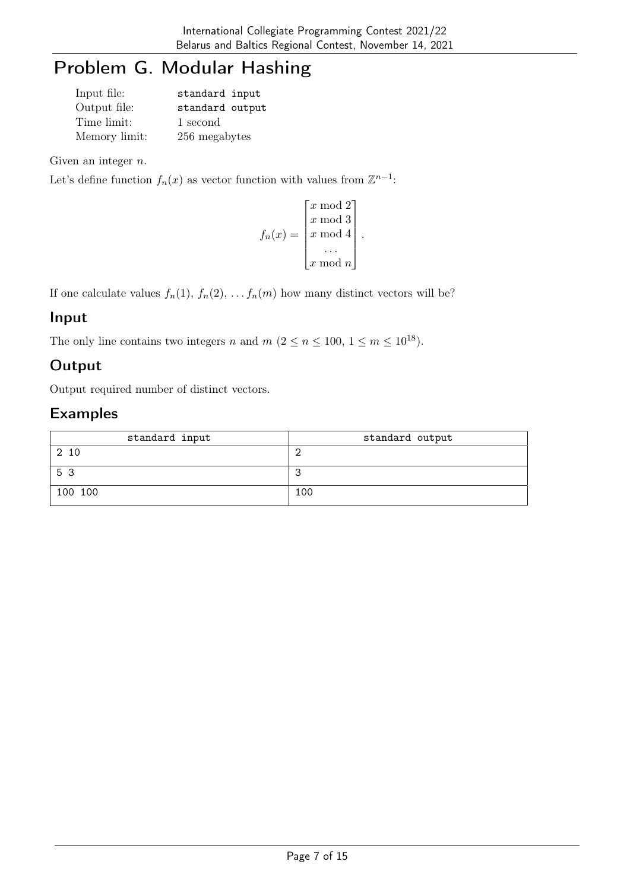# Problem G. Modular Hashing

| Input file:   | standard input  |
|---------------|-----------------|
| Output file:  | standard output |
| Time limit:   | 1 second        |
| Memory limit: | 256 megabytes   |

Given an integer  $n$ .

Let's define function  $f_n(x)$  as vector function with values from  $\mathbb{Z}^{n-1}$ :

$$
f_n(x) = \begin{bmatrix} x \bmod 2 \\ x \bmod 3 \\ x \bmod 4 \\ \cdots \\ x \bmod n \end{bmatrix}.
$$

If one calculate values  $f_n(1)$ ,  $f_n(2)$ , ...  $f_n(m)$  how many distinct vectors will be?

#### Input

The only line contains two integers n and  $m$   $(2 \le n \le 100, 1 \le m \le 10^{18})$ .

## **Output**

Output required number of distinct vectors.

| standard input | standard output |
|----------------|-----------------|
| 2 10           |                 |
| 53             |                 |
| 100 100        | 100             |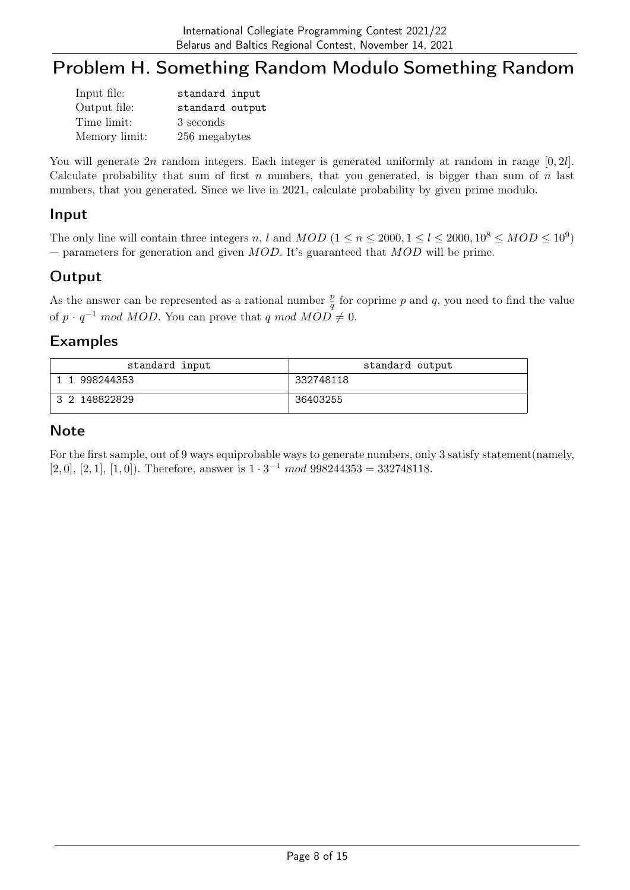## Problem H. Something Random Modulo Something Random

| Input file:   | standard input  |
|---------------|-----------------|
| Output file:  | standard output |
| Time limit:   | 3 seconds       |
| Memory limit: | 256 megabytes   |

You will generate  $2n$  random integers. Each integer is generated uniformly at random in range  $[0, 2l]$ . Calculate probability that sum of first n numbers, that you generated, is bigger than sum of  $n$  last numbers, that you generated. Since we live in 2021, calculate probability by given prime modulo.

#### Input

The only line will contain three integers n, l and  $MOD (1 \le n \le 2000, 1 \le l \le 2000, 10^8 \le MOD \le 10^9)$ — parameters for generation and given  $MOD$ . It's guaranteed that  $MOD$  will be prime.

#### Output

As the answer can be represented as a rational number  $\frac{p}{q}$  for coprime p and q, you need to find the value of  $p \cdot q^{-1}$  mod MOD. You can prove that q mod MOD  $\neq 0$ .

#### Examples

| standard input | standard output |
|----------------|-----------------|
| 1 998244353    | 332748118       |
| 3 2 148822829  | 36403255        |

#### **Note**

For the first sample, out of 9 ways equiprobable ways to generate numbers, only 3 satisfy statement(namely, [2, 0], [2, 1], [1, 0]). Therefore, answer is  $1 \cdot 3^{-1}$  mod  $998244353 = 332748118$ .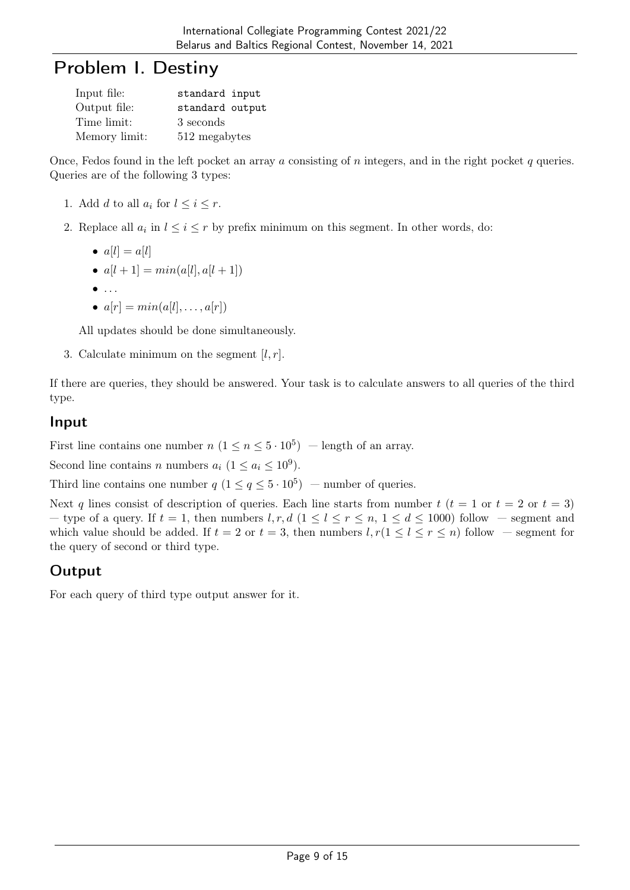## Problem I. Destiny

| Input file:   | standard input  |
|---------------|-----------------|
| Output file:  | standard output |
| Time limit:   | 3 seconds       |
| Memory limit: | 512 megabytes   |

Once, Fedos found in the left pocket an array a consisting of n integers, and in the right pocket q queries. Queries are of the following 3 types:

- 1. Add d to all  $a_i$  for  $l \leq i \leq r$ .
- 2. Replace all  $a_i$  in  $l \leq i \leq r$  by prefix minimum on this segment. In other words, do:

$$
\bullet \ \ a[l] = a[l]
$$

- $a[l + 1] = min(a[l], a[l + 1])$
- $\bullet$  ...
- $a[r] = min(a[l], \ldots, a[r])$

All updates should be done simultaneously.

3. Calculate minimum on the segment  $[l, r]$ .

If there are queries, they should be answered. Your task is to calculate answers to all queries of the third type.

#### Input

First line contains one number  $n (1 \le n \le 5 \cdot 10^5)$  – length of an array.

Second line contains *n* numbers  $a_i$   $(1 \le a_i \le 10^9)$ .

Third line contains one number  $q (1 \leq q \leq 5 \cdot 10^5)$  – number of queries.

Next q lines consist of description of queries. Each line starts from number  $t$  ( $t = 1$  or  $t = 2$  or  $t = 3$ ) — type of a query. If  $t = 1$ , then numbers  $l, r, d$   $(1 \le l \le r \le n, 1 \le d \le 1000)$  follow — segment and which value should be added. If  $t = 2$  or  $t = 3$ , then numbers  $l, r(1 \leq l \leq r \leq n)$  follow — segment for the query of second or third type.

## **Output**

For each query of third type output answer for it.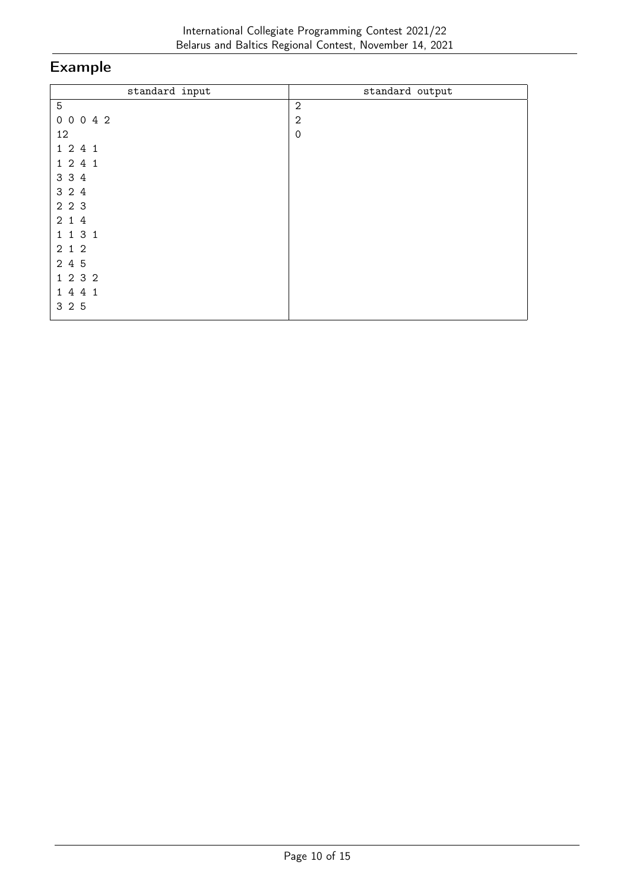| standard input | standard output |
|----------------|-----------------|
| $\mathbf 5$    | $\sqrt{2}$      |
| 0 0 0 4 2      | $\mathbf{2}$    |
| 12             | $\mathbf 0$     |
| 1 2 4 1        |                 |
| 1 2 4 1        |                 |
| 3 3 4          |                 |
| 3 2 4          |                 |
| 2 2 3          |                 |
| 2 1 4          |                 |
| 1 1 3 1        |                 |
| 2 1 2          |                 |
| 2 4 5          |                 |
| 1 2 3 2        |                 |
| 1 4 4 1        |                 |
| 3 2 5          |                 |
|                |                 |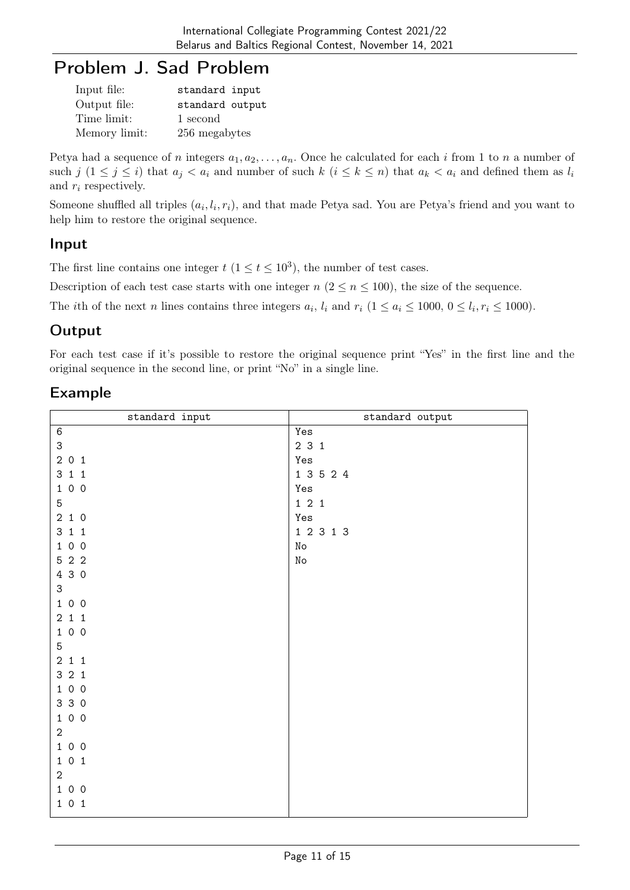## Problem J. Sad Problem

| Input file:   | standard input  |
|---------------|-----------------|
| Output file:  | standard output |
| Time limit:   | 1 second        |
| Memory limit: | 256 megabytes   |

Petya had a sequence of n integers  $a_1, a_2, \ldots, a_n$ . Once he calculated for each i from 1 to n a number of such j  $(1 \leq j \leq i)$  that  $a_j < a_i$  and number of such  $k$   $(i \leq k \leq n)$  that  $a_k < a_i$  and defined them as  $l_i$ and  $r_i$  respectively.

Someone shuffled all triples  $(a_i, l_i, r_i)$ , and that made Petya sad. You are Petya's friend and you want to help him to restore the original sequence.

#### Input

The first line contains one integer  $t$   $(1 \le t \le 10^3)$ , the number of test cases.

Description of each test case starts with one integer  $n (2 \le n \le 100)$ , the size of the sequence.

The *i*th of the next *n* lines contains three integers  $a_i$ ,  $l_i$  and  $r_i$  ( $1 \le a_i \le 1000$ ,  $0 \le l_i$ ,  $r_i \le 1000$ ).

## **Output**

For each test case if it's possible to restore the original sequence print "Yes" in the first line and the original sequence in the second line, or print "No" in a single line.

| standard input                      | standard output     |
|-------------------------------------|---------------------|
| $\,6\,$                             | Yes                 |
| 3                                   | 231                 |
| 201                                 | Yes                 |
| 311                                 | 1 3 5 2 4           |
| 1 0 0                               | Yes                 |
| 5                                   | $1 \quad 2 \quad 1$ |
| 2 1 0                               | Yes                 |
| $3\hspace{0.1cm} 1\hspace{0.1cm} 1$ | $1\ 2\ 3\ 1\ 3$     |
| 1 0 0                               | No                  |
| 5 2 2                               | $\rm\thinspace No$  |
| 4 3 0                               |                     |
| 3                                   |                     |
| 1 0 0                               |                     |
| $2\ 1\ 1$                           |                     |
| 100                                 |                     |
| 5                                   |                     |
| 211                                 |                     |
| 321                                 |                     |
| 100                                 |                     |
| 3 3 0                               |                     |
| 1 0 0                               |                     |
| $\overline{2}$                      |                     |
| 100                                 |                     |
| $1\ 0\ 1$                           |                     |
| $\overline{2}$                      |                     |
| 1 0 0                               |                     |
| $1\ 0\ 1$                           |                     |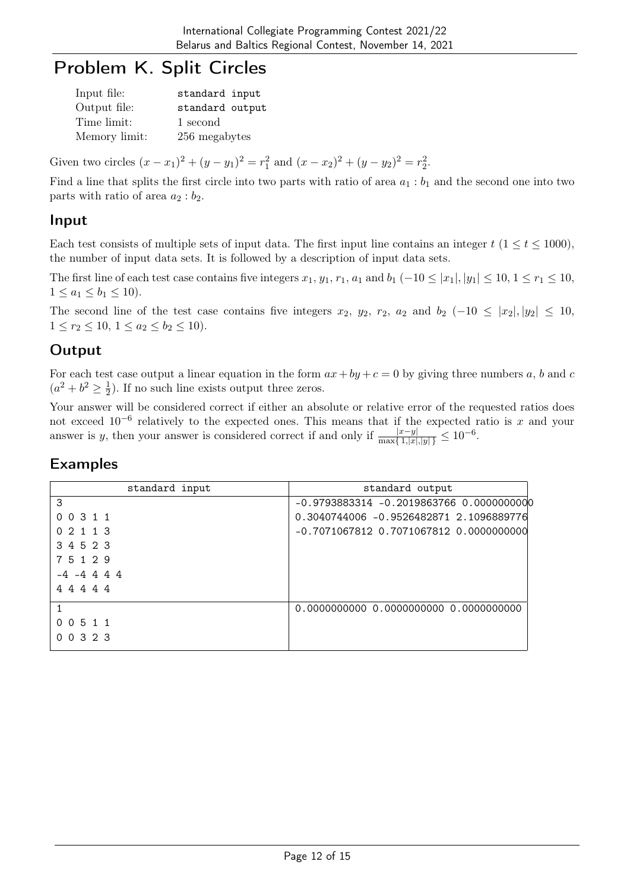# Problem K. Split Circles

| Input file:   | standard input  |
|---------------|-----------------|
| Output file:  | standard output |
| Time limit:   | 1 second        |
| Memory limit: | 256 megabytes   |

Given two circles  $(x - x_1)^2 + (y - y_1)^2 = r_1^2$  and  $(x - x_2)^2 + (y - y_2)^2 = r_2^2$ .

Find a line that splits the first circle into two parts with ratio of area  $a_1 : b_1$  and the second one into two parts with ratio of area  $a_2 : b_2$ .

#### Input

Each test consists of multiple sets of input data. The first input line contains an integer  $t$  ( $1 \le t \le 1000$ ), the number of input data sets. It is followed by a description of input data sets.

The first line of each test case contains five integers  $x_1, y_1, r_1, a_1$  and  $b_1$  (-10  $\leq |x_1|, |y_1| \leq 10, 1 \leq r_1 \leq 10$ ,  $1 \le a_1 \le b_1 \le 10$ ).

The second line of the test case contains five integers  $x_2$ ,  $y_2$ ,  $r_2$ ,  $a_2$  and  $b_2$  (-10 ≤ |x<sub>2</sub>|, |y<sub>2</sub>| ≤ 10,  $1 \leq r_2 \leq 10, \ 1 \leq a_2 \leq b_2 \leq 10$ .

## **Output**

For each test case output a linear equation in the form  $ax + by + c = 0$  by giving three numbers a, b and c  $(a^2 + b^2 \geq \frac{1}{2})$  $\frac{1}{2}$ ). If no such line exists output three zeros.

Your answer will be considered correct if either an absolute or relative error of the requested ratios does not exceed  $10^{-6}$  relatively to the expected ones. This means that if the expected ratio is x and your answer is y, then your answer is considered correct if and only if  $\frac{|x-y|}{\max\{1, |x|, |y|\}} \le 10^{-6}$ .

| standard input      | standard output                          |
|---------------------|------------------------------------------|
| 3                   | -0.9793883314 -0.2019863766 0.0000000000 |
| 0 0 3 1 1           | 0.3040744006 -0.9526482871 2.1096889776  |
| 0 2 1 1 3           | -0.7071067812 0.7071067812 0.0000000000  |
| 3 4 5 2 3           |                                          |
| 7 5 1 2 9           |                                          |
| $-4$ $-4$ 4 4 4     |                                          |
| 44444               |                                          |
|                     | 0.0000000000 0.0000000000 0.0000000000   |
| 0 5 1 1<br>$\Omega$ |                                          |
| 0 0 3 2 3           |                                          |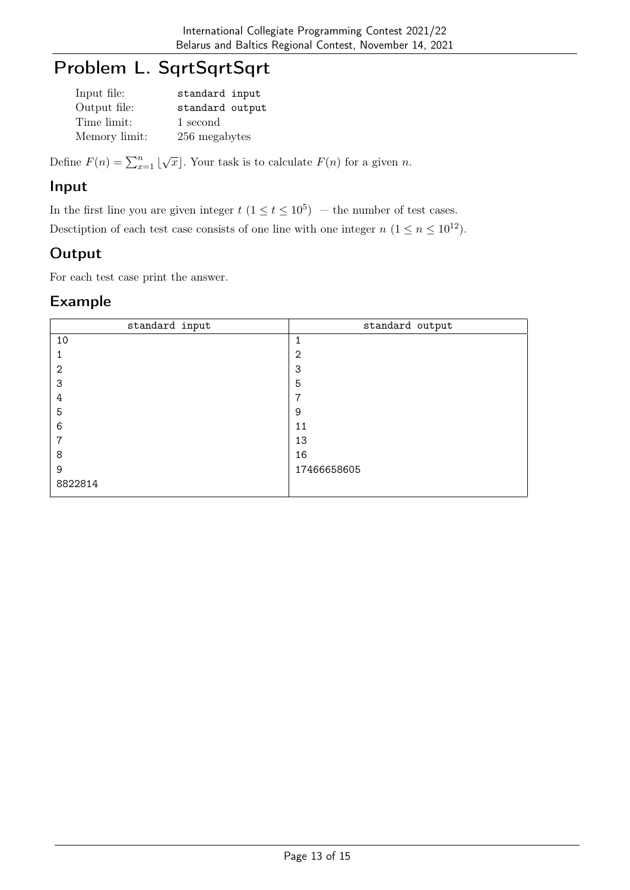# Problem L. SqrtSqrtSqrt

| Input file:   | standard input  |
|---------------|-----------------|
| Output file:  | standard output |
| Time limit:   | 1 second        |
| Memory limit: | 256 megabytes   |

Define  $F(n) = \sum_{x=1}^{n} \lfloor \sqrt{x} \rfloor$ . Your task is to calculate  $F(n)$  for a given n.

#### Input

In the first line you are given integer  $t$   $(1 \le t \le 10^5)$  – the number of test cases.

Desctiption of each test case consists of one line with one integer  $n (1 \le n \le 10^{12})$ .

## **Output**

For each test case print the answer.

| standard input | standard output |
|----------------|-----------------|
| 10             |                 |
|                | $\overline{2}$  |
| $\overline{2}$ | 3               |
| 3              | 5               |
| 4              | 7               |
| 5              | 9               |
| 6              | 11              |
| 7              | 13              |
| 8              | 16              |
| 9              | 17466658605     |
| 8822814        |                 |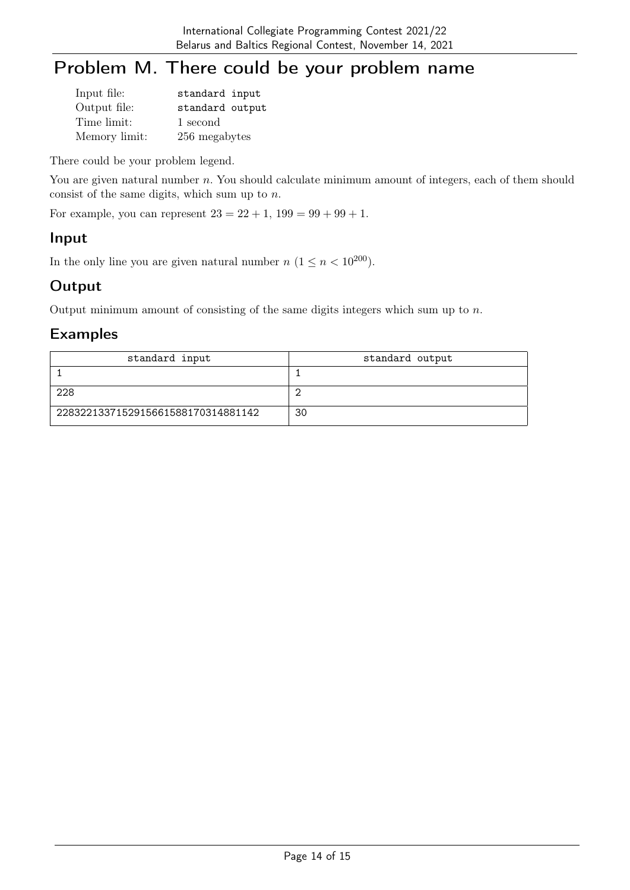# Problem M. There could be your problem name

| Input file:   | standard input  |
|---------------|-----------------|
| Output file:  | standard output |
| Time limit:   | 1 second        |
| Memory limit: | 256 megabytes   |

There could be your problem legend.

You are given natural number n. You should calculate minimum amount of integers, each of them should consist of the same digits, which sum up to n.

For example, you can represent  $23 = 22 + 1$ ,  $199 = 99 + 99 + 1$ .

#### Input

In the only line you are given natural number  $n (1 \le n < 10^{200})$ .

### **Output**

Output minimum amount of consisting of the same digits integers which sum up to  $n$ .

| standard input                     | standard output |
|------------------------------------|-----------------|
|                                    |                 |
| 228                                |                 |
| 2283221337152915661588170314881142 | 30              |